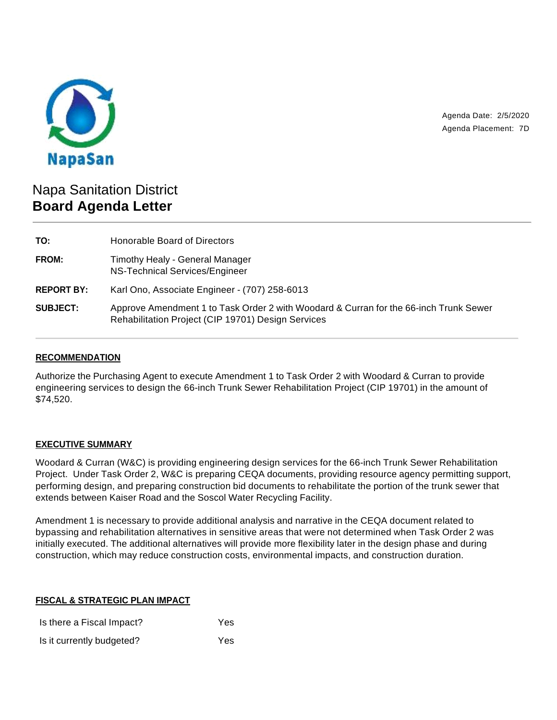

Agenda Date: 2/5/2020 Agenda Placement: 7D

# Napa Sanitation District **Board Agenda Letter**

| TO:               | Honorable Board of Directors                                                                                                                |  |
|-------------------|---------------------------------------------------------------------------------------------------------------------------------------------|--|
| FROM:             | Timothy Healy - General Manager<br>NS-Technical Services/Engineer                                                                           |  |
| <b>REPORT BY:</b> | Karl Ono, Associate Engineer - (707) 258-6013                                                                                               |  |
| <b>SUBJECT:</b>   | Approve Amendment 1 to Task Order 2 with Woodard & Curran for the 66-inch Trunk Sewer<br>Rehabilitation Project (CIP 19701) Design Services |  |

## **RECOMMENDATION**

Authorize the Purchasing Agent to execute Amendment 1 to Task Order 2 with Woodard & Curran to provide engineering services to design the 66-inch Trunk Sewer Rehabilitation Project (CIP 19701) in the amount of \$74,520.

### **EXECUTIVE SUMMARY**

Woodard & Curran (W&C) is providing engineering design services for the 66-inch Trunk Sewer Rehabilitation Project. Under Task Order 2, W&C is preparing CEQA documents, providing resource agency permitting support, performing design, and preparing construction bid documents to rehabilitate the portion of the trunk sewer that extends between Kaiser Road and the Soscol Water Recycling Facility.

Amendment 1 is necessary to provide additional analysis and narrative in the CEQA document related to bypassing and rehabilitation alternatives in sensitive areas that were not determined when Task Order 2 was initially executed. The additional alternatives will provide more flexibility later in the design phase and during construction, which may reduce construction costs, environmental impacts, and construction duration.

### **FISCAL & STRATEGIC PLAN IMPACT**

| Is there a Fiscal Impact? | Yes |
|---------------------------|-----|
| Is it currently budgeted? | Yes |